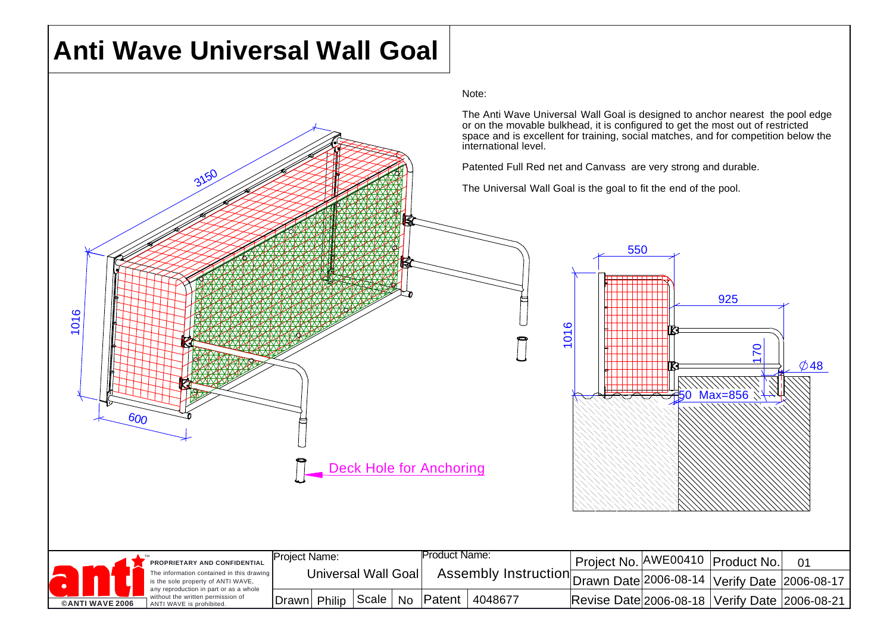## **Anti Wave Universal Wall Goal**